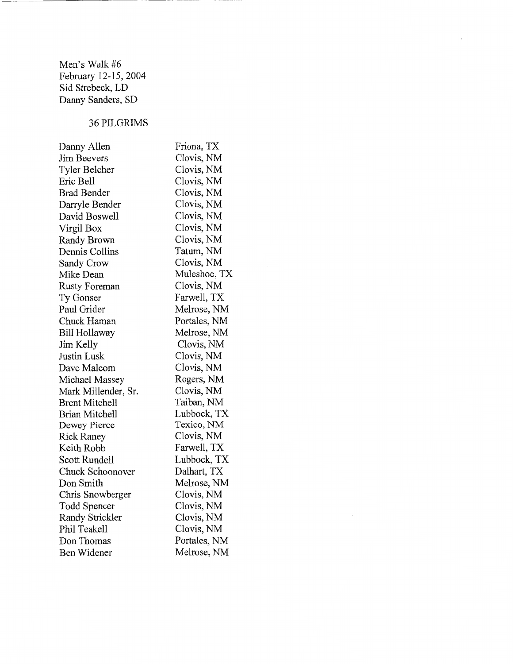Men's Walk #6 February 12-15, 2004 Sid Strebeck, LD Danny Sanders, SD

# 36PILGRIMS

| Danny Allen           | Friona, TX   |
|-----------------------|--------------|
| Jim Beevers           | Clovis, NM   |
| Tyler Belcher         | Clovis, NM   |
| Eric Bell             | Clovis, NM   |
| Brad Bender           | Clovis, NM   |
| Darryle Bender        | Clovis, NM   |
| David Boswell         | Clovis, NM   |
| Virgil Box            | Clovis, NM   |
| Randy Brown           | Clovis, NM   |
| Dennis Collins        | Tatum, NM    |
| Sandy Crow            | Clovis, NM   |
| Mike Dean             | Muleshoe, TX |
| Rusty Foreman         | Clovis, NM   |
| Ty Gonser             | Farwell, TX  |
| Paul Grider           | Melrose, NM  |
| Chuck Haman           | Portales, NM |
| Bill Hollaway         | Melrose, NM  |
| Jim Kelly             | Clovis, NM   |
| Justin Lusk           | Clovis, NM   |
| Dave Malcom           | Clovis, NM   |
| Michael Massey        | Rogers, NM   |
| Mark Millender, Sr.   | Clovis, NM   |
| <b>Brent Mitchell</b> | Taiban, NM   |
| Brian Mitchell        | Lubbock, TX  |
| Dewey Pierce          | Texico, NM   |
| <b>Rick Raney</b>     | Clovis, NM   |
| Keith Robb            | Farwell, TX  |
| Scott Rundell         | Lubbock, TX  |
| Chuck Schoonover      | Dalhart, TX  |
| Don Smith             | Melrose, NM  |
| Chris Snowberger      | Clovis, NM   |
| Todd Spencer          | Clovis, NM   |
| Randy Strickler       | Clovis, NM   |
| Phil Teakell          | Clovis, NM   |
| Don Thomas            | Portales, NM |
| Ben Widener           | Melrose, NM  |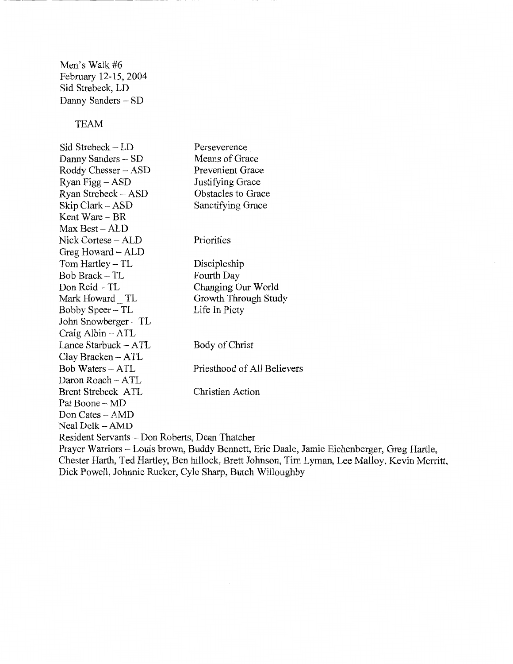Men's Walk #6 February 12-15, 2004 Sid Strebeck, LD Danny Sanders - SD

----------~ -----

TEAM

Sid Strebeck- LD Danny Sanders - SD Roddy Chesser- ASD Ryan Figg- ASD Ryan Strebeck- ASD Skip Clark - ASD Kent Ware- BR Max Best- ALD Nick Cortese - ALD Greg Howard~ ALD Tom Hartley- TL Bob Brack- TL Don Reid-TL Mark Howard TL Bobby Speer- TL John Snowberger - TL Craig Albin - ATL Lance Starbuck- ATL Clay Bracken- ATL Bob Waters - ATL Daron Roach- ATL Brent Strebeck ATL Pat Boone - MD Don Cates- AMD Neal Delk- AMD Perseverence Means of Grace Prevenient Grace Justifying Grace Obstacles to Grace Sanctifying Grace **Priorities** Discipleship Fourth Day Changing Our World Growth Through Study Life In Piety Body of Christ Priesthood of All Believers Christian Action Resident Servants -Don Roberts, Dean Thatcher Prayer Warriors- Louis brown, Buddy Bennett, Eric Daale, Jamie Eichenberger, Greg Hartle,

Chester Harth, Ted Hartley, Ben hillock, Brett Johnson, Tim Lyman, Lee Malloy, Kevin Merritt, Dick Powell, Johnnie Rucker, Cyle Sharp, Butch Willoughby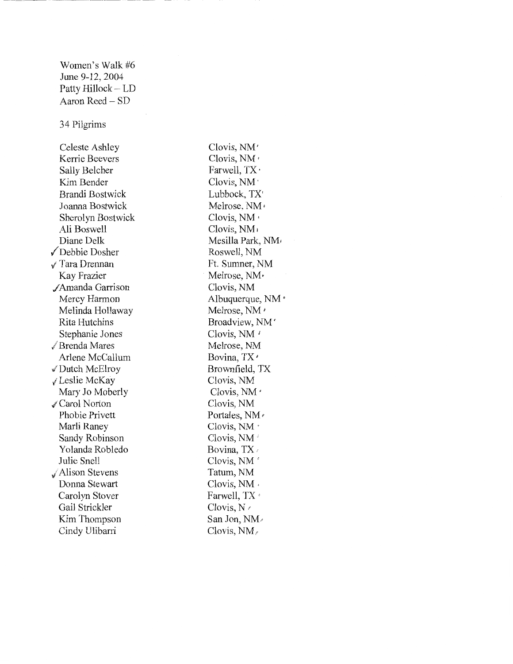Women's Walk #6 June 9-12, 2004 Patty Hillock - LD Aaron Reed - SD

34 Pilgrims

Celeste Ashley Kerrie Beevers Sally Belcher Kim Bender Brandi Bostwick Joanna Bostwick Sherolyn Bostwick Ali Boswell Diane Delk (Debbie Dosher  $\sqrt{T}$ ara Drennan Kay Frazier /Amanda Garrison Mercy Harmon Melinda Hollaway Rita Hutchins Stephanie Jones √ Brenda Mares Arlene McCallum ,/Dutch McElroy (Leslie McKay Mary Jo Moberly /Carol Norton Phobie Privett Marli Raney Sandy Robinson Yolanda Robledo Julie Snell iAlison Stevens Donna Stewart Carolyn Stover Gail Strickler Kim Thompson Cindy Ulibarri

Clovis, NM' Clovis, NM' Farwell, TX · Clovis, NM· Lubbock, TX' Melrose, NM' Clovis, NM • Clovis, NM; Mesilla Park, NM1 Roswell, NM Ft. Sumner, NM Melrose, NM • Clovis, NM Albuquerque, NM Melrose, NM ' Broadview, NM' Clovis, NM<sup>1</sup> Melrose, NM Bovina, TX<sup>+</sup> Brownfield, TX Clovis, NM Clovis, NM' Clovis, NM Portales, NM  $\epsilon$ Clovis, NM · Clovis, NM' Bovina, TX Clovis, NM' Tatum, NM Clovis, NM. Farwell, TX<sup>®</sup> Clovis, N  $\triangle$ San Jon, NM~ Clovis, NM,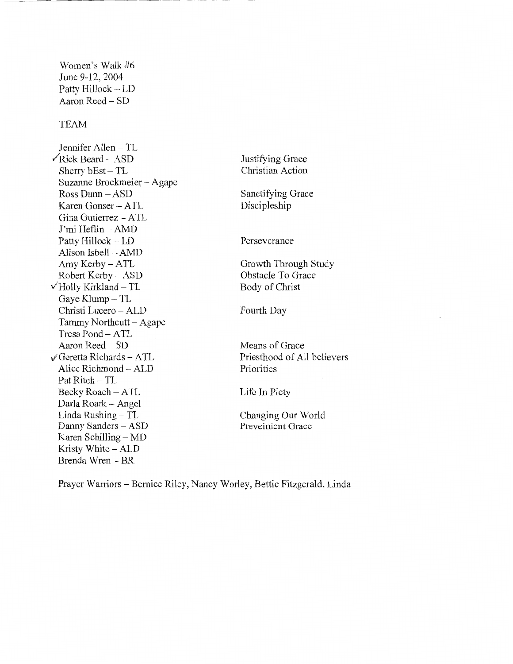Women's Walk #6 June 9-12,2004 Patty Hillock - LD Aaron Reed- SD TEAM Jennifer Allen - TL  $\sqrt{\text{Rick Beard} - \text{ASD}}$ Sherry bEst- TL Suzanne Brockmeier -Agape Ross Dunn - ASD Karen Gonser - ATL Gina Gutierrez - ATL J' mi Heflin- AMD Patty Hillock - LD Alison Isbell - AMD Amy Kerby- ATL Robert Kerby - ASD  $\checkmark$  Holly Kirkland – TL Gaye Klump  $-TL$ Christi Lucero - ALD Tammy Northcutt- Agape Tresa Pond - ATL Aaron Reed - SD  $\sqrt{\text{Geretta Richards}} - \text{ATL}$ Alice Richmond - ALD Pat Ritch - TL Becky Roach- A TL Darla Roark - Angel Linda Rushing - TL Danny Sanders - ASD Karen Schilling  $-MD$ Kristy White - ALD Brenda Wren- BR

Justifying Grace Christian Action Sanctifying Grace Discipleship Perseverance Growth Through Study Obstacle To Grace Body of Christ Fourth Day Means of Grace Priesthood of All believers Priorities Life In Piety Changing Our World

Preveinient Grace

Prayer Warriors- Bernice Riley, Nancy Worley, Bettie Fitzgerald, Linda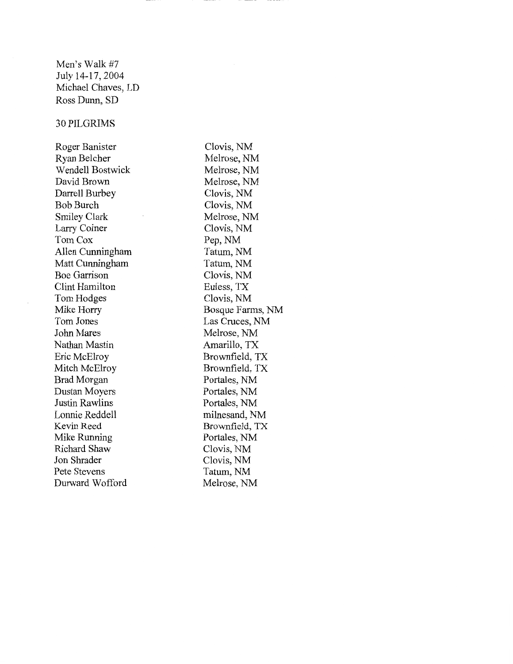Men's Walk #7 July 14-17, 2004 Michael Chaves, LD Ross Dunn, SD

#### 30PILGRIMS

Roger Banister Ryan Belcher Wendell Bostwick David Brown Darrell Burbey Bob Burch Smiley Clark Larry Coiner Tom Cox Allen Cunningham Matt Cunningham Boe Garrison Clint Hamilton Tom Hodges Mike Horry Tom Jones John Mares Nathan Mastin Eric McElroy Mitch McElroy Brad Morgan Dustan Moyers Justin Rawlins Lonnie Reddell Kevin Reed Mike Running Richard Shaw Jon Shrader Pete Stevens Durward Wofford

Clovis, NM Melrose, NM Melrose, NM Melrose, NM Clovis, NM Clovis, NM Melrose, NM Clovis, NM Pep,NM Tatum, NM Tatum, NM Clovis, NM Euless, TX Clovis, NM Bosque Farms, NM Las Cruces, NM Melrose, NM Amarillo, TX Brownfield, TX Brownfield, TX Portales, NM Portales, NM Portales, NM milnesand, NM Brownfield, TX Portales, NM Clovis, NM Clovis, NM Tatum, NM Melrose, NM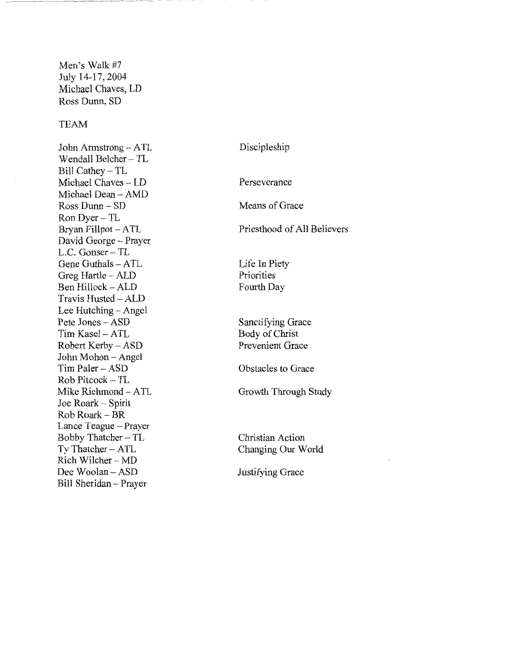Men's Walk #7 July 14-17, 2004 Michael Chaves, LD Ross Dunn, SD

### TEAM

John Armstrong- A TL Wendall Belcher- TL Bill Cathey- TL Michael Chaves - LD Michael Dean- AMD Ross Dunn- SD RonDyer-TL Bryan Fillpot - ATL David George - Prayer L.C. Gonser- TL Gene Guthals - ATL Greg Hartle - ALD Ben Hillock - ALD Travis Husted- ALD Lee Hutching - Angel Pete Jones- ASD Tim Kasel- ATL Robert Kerby - ASD John Mohon- Angel Tim Paler- ASD Rob Pitcock- TL Mike Richmond- ATL Joe Roark - Spirit Rob Roark- BR Lance Teague - Prayer Bobby Thatcher- TL Ty Thatcher - ATL Rich Wilcher - MD Dee Woolan- ASD Bill Sheridan- Prayer

Discipleship

Perseverance

Means of Grace

Priesthood of All Believers

Life In Piety Priorities Fourth Day

Sanctifying Grace Body of Christ Prevenient Grace

Obstacles to Grace

Growth Through Study

Christian Action Changing Our World

Justifying Grace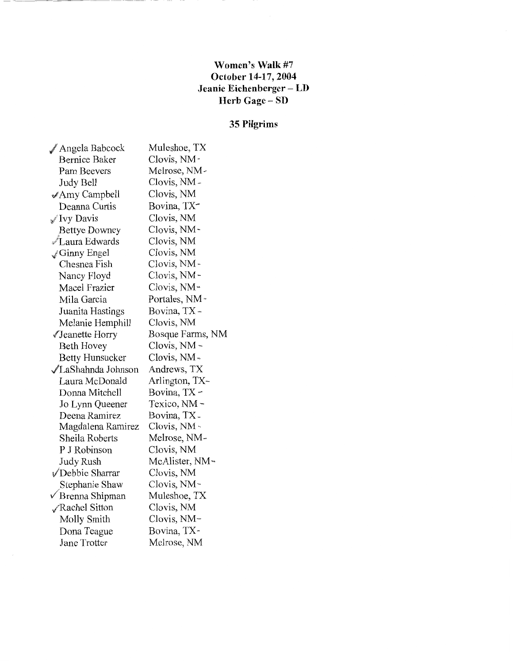### **Women's Walk** #7 **October 14-17, 2004 Jeanie Eichenberger- LD Herb Gage - SD**

# **35 Pilgrims**

| Angela Babcock            | Muleshoe, TX            |
|---------------------------|-------------------------|
| <b>Bernice Baker</b>      | Clovis, NM -            |
| Pam Beevers               | Melrose, NM-            |
| Judy Bell                 | Clovis, NM -            |
| $\mathcal A$ my Campbell  | Clovis, NM              |
| Deanna Curtis             | Bovina, TX-             |
| √ Ivy Davis               | Clovis, NM              |
| <b>Bettye Downey</b>      | Clovis, NM-             |
| √Laura Edwards            | Clovis, NM              |
| $\mathscr{Q}$ Ginny Engel | Clovis, NM              |
| Chesnea Fish              | Clovis, NM-             |
| Nancy Floyd               | Clovis, NM-             |
| Macel Frazier             | Clovis, NM-             |
| Mila Garcia               | Portales, NM =          |
| Juanita Hastings          | Bovina, TX -            |
| Melanie Hemphill          | Clovis, NM              |
| √Jeanette Horry           | Bosque Farms, NM        |
| Beth Hovey                | Clovis, NM -            |
| <b>Betty Hunsucker</b>    | Clovis, NM-             |
| √LaShahnda Johnson        | Andrews, TX             |
| Laura McDonald            | Arlington, TX-          |
| Donna Mitchell            | Bovina, TX -            |
| Jo Lynn Queener           | Texico, NM <del>-</del> |
| Deena Ramirez             | Bovina, TX-             |
| Magdalena Ramirez         | Clovis, NM -            |
| Sheila Roberts            | Melrose, NM-            |
| P J Robinson              | Clovis, NM              |
| Judy Rush                 | McAlister, NM-          |
| √Debbie Sharrar           | Clovis, NM              |
| Stephanie Shaw            | Clovis, NM~             |
| √ Brenna Shipman          | Muleshoe, TX            |
| √Rachel Sitton            | Clovis, NM              |
| Molly Smith               | Clovis, NM-             |
| Dona Teague               | Bovina, TX-             |
| Jane Trotter              | Melrose, NM             |